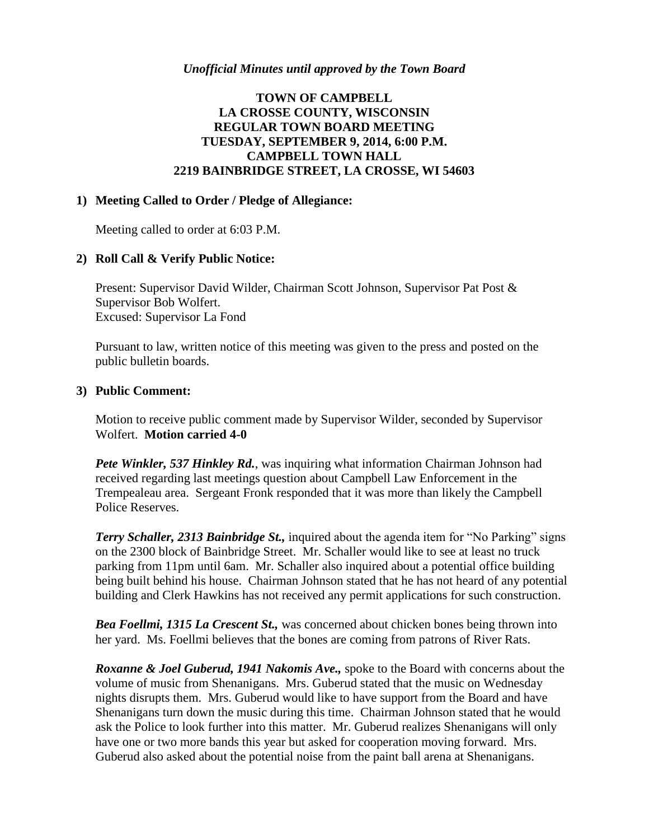### *Unofficial Minutes until approved by the Town Board*

# **TOWN OF CAMPBELL LA CROSSE COUNTY, WISCONSIN REGULAR TOWN BOARD MEETING TUESDAY, SEPTEMBER 9, 2014, 6:00 P.M. CAMPBELL TOWN HALL 2219 BAINBRIDGE STREET, LA CROSSE, WI 54603**

#### **1) Meeting Called to Order / Pledge of Allegiance:**

Meeting called to order at 6:03 P.M.

### **2) Roll Call & Verify Public Notice:**

Present: Supervisor David Wilder, Chairman Scott Johnson, Supervisor Pat Post & Supervisor Bob Wolfert. Excused: Supervisor La Fond

Pursuant to law, written notice of this meeting was given to the press and posted on the public bulletin boards.

#### **3) Public Comment:**

Motion to receive public comment made by Supervisor Wilder, seconded by Supervisor Wolfert. **Motion carried 4-0**

*Pete Winkler, 537 Hinkley Rd.*, was inquiring what information Chairman Johnson had received regarding last meetings question about Campbell Law Enforcement in the Trempealeau area. Sergeant Fronk responded that it was more than likely the Campbell Police Reserves.

*Terry Schaller, 2313 Bainbridge St.,* inquired about the agenda item for "No Parking" signs on the 2300 block of Bainbridge Street. Mr. Schaller would like to see at least no truck parking from 11pm until 6am. Mr. Schaller also inquired about a potential office building being built behind his house. Chairman Johnson stated that he has not heard of any potential building and Clerk Hawkins has not received any permit applications for such construction.

*Bea Foellmi, 1315 La Crescent St.,* was concerned about chicken bones being thrown into her yard. Ms. Foellmi believes that the bones are coming from patrons of River Rats.

*Roxanne & Joel Guberud, 1941 Nakomis Ave.,* spoke to the Board with concerns about the volume of music from Shenanigans. Mrs. Guberud stated that the music on Wednesday nights disrupts them. Mrs. Guberud would like to have support from the Board and have Shenanigans turn down the music during this time. Chairman Johnson stated that he would ask the Police to look further into this matter. Mr. Guberud realizes Shenanigans will only have one or two more bands this year but asked for cooperation moving forward. Mrs. Guberud also asked about the potential noise from the paint ball arena at Shenanigans.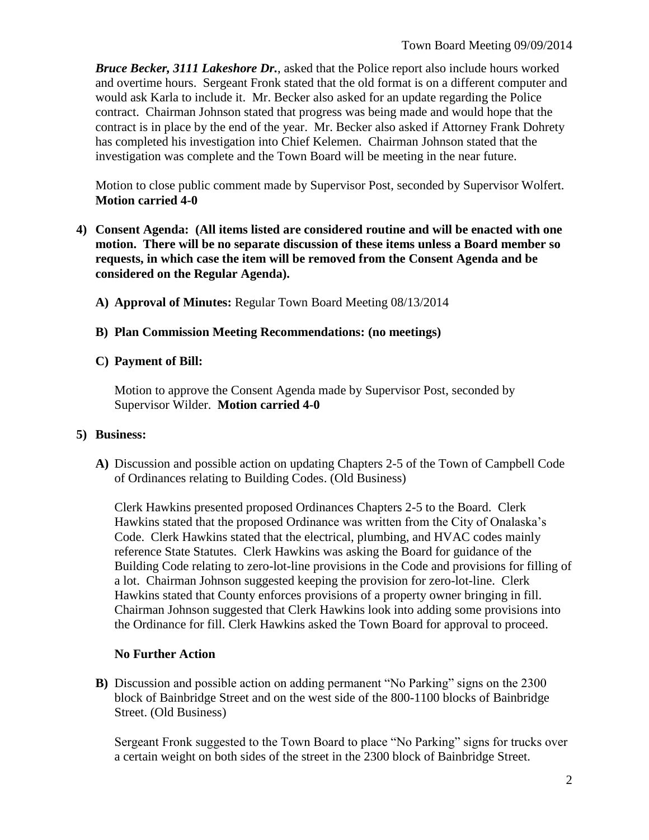*Bruce Becker, 3111 Lakeshore Dr.*, asked that the Police report also include hours worked and overtime hours. Sergeant Fronk stated that the old format is on a different computer and would ask Karla to include it. Mr. Becker also asked for an update regarding the Police contract. Chairman Johnson stated that progress was being made and would hope that the contract is in place by the end of the year. Mr. Becker also asked if Attorney Frank Dohrety has completed his investigation into Chief Kelemen. Chairman Johnson stated that the investigation was complete and the Town Board will be meeting in the near future.

Motion to close public comment made by Supervisor Post, seconded by Supervisor Wolfert. **Motion carried 4-0**

- **4) Consent Agenda: (All items listed are considered routine and will be enacted with one motion. There will be no separate discussion of these items unless a Board member so requests, in which case the item will be removed from the Consent Agenda and be considered on the Regular Agenda).**
	- **A) Approval of Minutes:** Regular Town Board Meeting 08/13/2014
	- **B) Plan Commission Meeting Recommendations: (no meetings)**

## **C) Payment of Bill:**

Motion to approve the Consent Agenda made by Supervisor Post, seconded by Supervisor Wilder. **Motion carried 4-0**

### **5) Business:**

**A)** Discussion and possible action on updating Chapters 2-5 of the Town of Campbell Code of Ordinances relating to Building Codes. (Old Business)

Clerk Hawkins presented proposed Ordinances Chapters 2-5 to the Board. Clerk Hawkins stated that the proposed Ordinance was written from the City of Onalaska's Code. Clerk Hawkins stated that the electrical, plumbing, and HVAC codes mainly reference State Statutes. Clerk Hawkins was asking the Board for guidance of the Building Code relating to zero-lot-line provisions in the Code and provisions for filling of a lot. Chairman Johnson suggested keeping the provision for zero-lot-line. Clerk Hawkins stated that County enforces provisions of a property owner bringing in fill. Chairman Johnson suggested that Clerk Hawkins look into adding some provisions into the Ordinance for fill. Clerk Hawkins asked the Town Board for approval to proceed.

### **No Further Action**

**B)** Discussion and possible action on adding permanent "No Parking" signs on the 2300 block of Bainbridge Street and on the west side of the 800-1100 blocks of Bainbridge Street. (Old Business)

Sergeant Fronk suggested to the Town Board to place "No Parking" signs for trucks over a certain weight on both sides of the street in the 2300 block of Bainbridge Street.